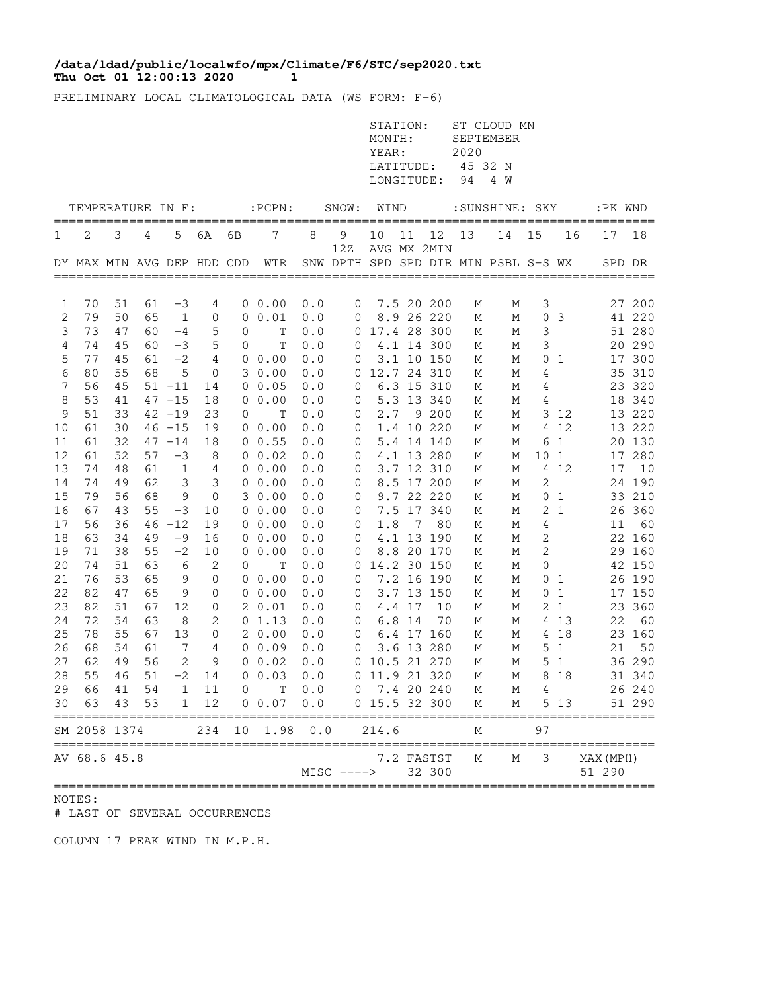## **Thu Oct 01 12:00:13 2020 1 /data/ldad/public/localwfo/mpx/Climate/F6/STC/sep2020.txt**

PRELIMINARY LOCAL CLIMATOLOGICAL DATA (WS FORM: F-6)

|          |                            |          |          |                |                             |    |                      |            |                      | STATION:<br>MONTH:<br>YEAR:<br>LATITUDE:<br>LONGITUDE: |        |                          | 2020<br>94 | ST CLOUD MN<br>SEPTEMBER<br>45 32 N<br>4 W |              |                    |                     |               |
|----------|----------------------------|----------|----------|----------------|-----------------------------|----|----------------------|------------|----------------------|--------------------------------------------------------|--------|--------------------------|------------|--------------------------------------------|--------------|--------------------|---------------------|---------------|
|          | TEMPERATURE IN F:          |          |          |                |                             |    | $:$ PCPN $:$         |            | SNOW:                | WIND                                                   |        |                          |            | : SUNSHINE: SKY                            |              |                    | :PK WND             |               |
| 1        | 2                          | 3        | 4        | 5              | 6A                          | 6В | 7                    | 8          | 9                    | 10                                                     | 11     | 12                       | 13         | 14                                         | 15           | 16                 | 17                  | ====<br>18    |
|          | DY MAX MIN AVG DEP HDD CDD |          |          |                |                             |    | WTR                  |            | 12Z                  |                                                        |        | AVG MX 2MIN              |            | SNW DPTH SPD SPD DIR MIN PSBL S-S WX       |              |                    | SPD DR              |               |
| 1        | 70                         | 51       | 61       | $-3$           | 4                           |    | $0\;\;0.00$          | 0.0        | 0                    |                                                        |        | 7.5 20 200               | М          | Μ                                          | 3            |                    | 27                  | 200           |
| 2        | 79                         | 50       | 65       | $\mathbf 1$    | 0                           | 0  | 0.01                 | 0.0        | 0                    |                                                        |        | 8.9 26 220               | М          | М                                          | 0            | 3                  |                     | 41 220        |
| 3        | 73                         | 47       | 60       | $-4$           | 5                           | 0  | Т                    | 0.0        | 0                    |                                                        |        | 17.4 28 300              | М          | М                                          | 3            |                    |                     | 51 280        |
| 4        | 74                         | 45       | 60       | $-3$           | 5                           | 0  | T                    | 0.0        | 0                    |                                                        |        | 4.1 14 300               | М          | М                                          | 3            |                    | 20                  | 290           |
| 5        | 77                         | 45       | 61       | $-2$           | 4                           |    | $0\;\;0.00$          | 0.0        | 0                    |                                                        |        | 3.1 10 150               | М          | Μ                                          | 0            | 1                  | 17                  | 300           |
| 6<br>7   | 80<br>56                   | 55<br>45 | 68       | 5<br>$51 - 11$ | $\mathbf 0$                 |    | 30.00<br>0 0.05      | 0.0        | 0                    |                                                        |        | 12.7 24 310              | М          | М                                          | 4            |                    | 35                  | 310<br>23 320 |
| 8        | 53                         | 41       |          | $47 - 15$      | 14<br>18                    |    | $0\;\;0.00$          | 0.0<br>0.0 | 0<br>0               |                                                        |        | 6.3 15 310<br>5.3 13 340 | Μ<br>М     | Μ<br>М                                     | 4<br>4       |                    |                     | 18 340        |
| 9        | 51                         | 33       |          | $42 - 19$      | 23                          | 0  | Т                    | 0.0        | 0                    | 2.7                                                    |        | 9 200                    | М          | М                                          | 3            | 12                 |                     | 13 220        |
| 10       | 61                         | 30       |          | $46 - 15$      | 19                          |    | 00.00                | 0.0        | 0                    |                                                        |        | 1.4 10 220               | М          | Μ                                          | 4            | 12                 |                     | 13 220        |
| 11       | 61                         | 32       |          | $47 - 14$      | 18                          |    | 0 0.55               | 0.0        | 0                    |                                                        |        | 5.4 14 140               | М          | Μ                                          | 6            | $\mathbf{1}$       |                     | 20 130        |
| 12       | 61                         | 52       | 57       | $-3$           | 8                           |    | 0 0.02               | 0.0        | 0                    |                                                        |        | 4.1 13 280               | М          | М                                          | 10           | $\mathbf{1}$       | 17                  | 280           |
| 13       | 74                         | 48       | 61       | $\mathbf 1$    | 4                           |    | $0\;\;0.00$          | 0.0        | 0                    |                                                        |        | 3.7 12 310               | М          | М                                          | 4            | 12                 | 17                  | 10            |
| 14       | 74                         | 49       | 62       | 3              | 3                           |    | $0\;\;0.00$          | 0.0        | 0                    |                                                        |        | 8.5 17 200               | М          | М                                          | 2            |                    |                     | 24 190        |
| 15<br>16 | 79<br>67                   | 56<br>43 | 68<br>55 | 9<br>$-3$      | $\mathbf 0$<br>10           |    | 30.00<br>$0\;\;0.00$ | 0.0<br>0.0 | 0<br>0               |                                                        |        | 9.7 22 220<br>7.5 17 340 | М<br>М     | М<br>М                                     | 0<br>2       | 1<br>1             | 33<br>26            | 210<br>360    |
| 17       | 56                         | 36       | 46       | $-12$          | 19                          |    | $0\;\;0.00$          | 0.0        | 0                    | 1.8                                                    | 7      | 80                       | М          | М                                          | 4            |                    | 11                  | 60            |
| 18       | 63                         | 34       | 49       | $-9$           | 16                          |    | $0\;\;0.00$          | 0.0        | 0                    |                                                        |        | 4.1 13 190               | М          | М                                          | 2            |                    | 22                  | 160           |
| 19       | 71                         | 38       | 55       | $-2$           | 10                          |    | 0 0.00               | 0.0        | 0                    |                                                        |        | 8.8 20 170               | М          | М                                          | 2            |                    | 29                  | 160           |
| 20       | 74                         | 51       | 63       | 6              | 2                           | 0  | Т                    | 0.0        | 0                    |                                                        |        | 14.2 30 150              | М          | М                                          | $\mathbf{0}$ |                    |                     | 42 150        |
| 21       | 76                         | 53       | 65       | 9              | 0                           |    | $0\;\;0.00$          | 0.0        | 0                    |                                                        |        | 7.2 16 190               | М          | М                                          | 0            | 1                  |                     | 26 190        |
| 22       | 82                         | 47       | 65       | 9              | 0                           |    | $0\;\;0.00$          | 0.0        | 0                    |                                                        |        | 3.7 13 150               | М          | М                                          | 0            | $\mathbf{1}$       | 17                  | 150           |
| 23       | 82                         | 51       | 67       | 12             | $\mathbf 0$                 |    | 20.01                | 0.0        | 0                    |                                                        | 4.4 17 | 10                       | М          | М                                          | 2            | $\mathbf{1}$       | 23                  | 360           |
| 24       | 72<br>78                   | 54<br>55 | 63<br>67 | 8<br>13        | $\mathbf{2}$<br>$\mathbf 0$ |    | 01.13<br>20.00       | 0.0        | 0                    |                                                        | 6.8 14 | 70                       | М          | М                                          |              | 4 1 3              | 22<br>23            | 60<br>160     |
| 25<br>26 | 68                         | 54       | 61       | 7              | 4                           |    | $0\;\;0.09$          | 0.0<br>0.0 | 0<br>0               |                                                        |        | 6.4 17 160<br>3.6 13 280 | М<br>М     | М<br>М                                     | 4<br>5       | 18<br>$\mathbf{1}$ | 21                  | 50            |
| 27       | 62                         | 49       | 56       | 2              | 9                           | 0  | 0.02                 | 0.0        | 0                    | 10.5 21 270                                            |        |                          | М          | М                                          | 5            | $\mathbf{1}$       |                     | 36 290        |
| 28       | 55                         | 46       | 51       | $-2$           | 14                          |    | 0 0.03               | 0.0        |                      | 0 11.9 21 320                                          |        |                          | М          | М                                          | 8            | 18                 |                     | 31 340        |
| 29       | 66 41                      |          | 54       |                | $1 \quad 11$                |    | $0$ T $0.0$          |            | $0 \quad 7.4$ 20 240 |                                                        |        |                          | М          | М                                          |              | $4\degree$         |                     | 26 240        |
| 30       | 63                         | 43       | 53       | $\mathbf{1}$   | 12                          |    | $0\;\;0.07$          | $0.0$      |                      | 0 15.5 32 300                                          |        |                          | М          | М                                          |              | 5 1 3              |                     | 51 290        |
|          | SM 2058 1374<br>:========  |          |          |                | 234                         | 10 | 1.98                 | 0.0        |                      | 214.6                                                  |        |                          | Μ          |                                            | 97           |                    |                     |               |
|          | AV 68.6 45.8               |          |          |                |                             |    |                      |            | $MISC$ ---->         |                                                        |        | 7.2 FASTST<br>32 300     | Μ          | М                                          | 3            |                    | MAX (MPH)<br>51 290 |               |

## NOTES:

# LAST OF SEVERAL OCCURRENCES

COLUMN 17 PEAK WIND IN M.P.H.